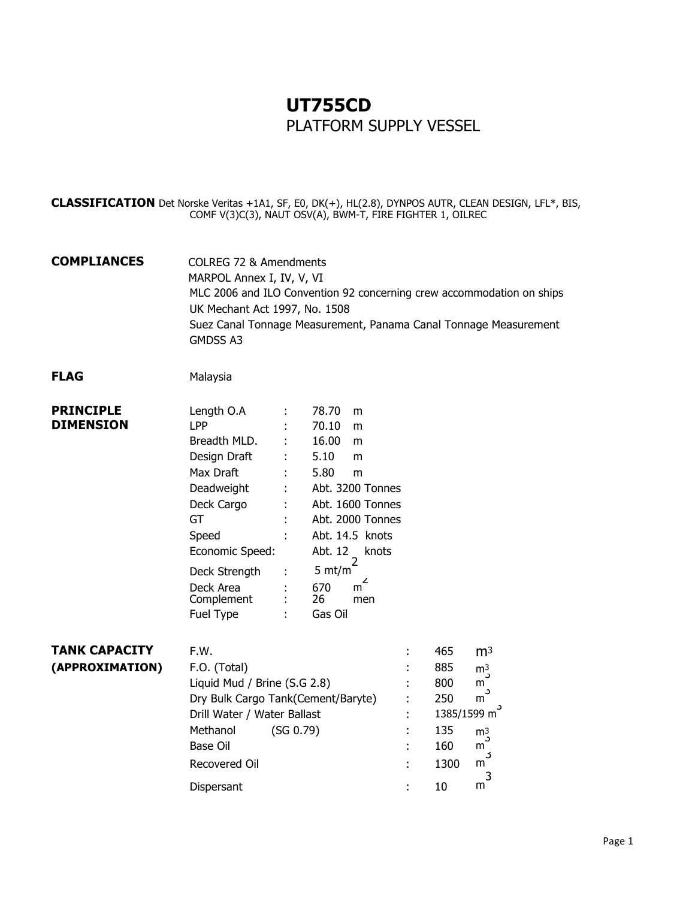## **UT755CD** PLATFORM SUPPLY VESSEL

**CLASSIFICATION** Det Norske Veritas +1A1, SF, E0, DK(+), HL(2.8), DYNPOS AUTR, CLEAN DESIGN, LFL\*, BIS, COMF V(3)C(3), NAUT OSV(A), BWM-T, FIRE FIGHTER 1, OILREC

**COMPLIANCES** COLREG 72 & Amendments MARPOL Annex I, IV, V, VI MLC 2006 and ILO Convention 92 concerning crew accommodation on ships UK Mechant Act 1997, No. 1508 Suez Canal Tonnage Measurement, Panama Canal Tonnage Measurement GMDSS A3

## **FLAG** Malaysia

| <b>PRINCIPLE</b> | Length O.A      |    | 78.70<br>m       |
|------------------|-----------------|----|------------------|
| <b>DIMENSION</b> | <b>LPP</b>      |    | 70.10<br>m       |
|                  | Breadth MLD.    |    | 16.00<br>m       |
|                  | Design Draft    |    | 5.10<br>m        |
|                  | Max Draft       | Ì. | 5.80<br>m        |
|                  | Deadweight      |    | Abt. 3200 Tonnes |
|                  | Deck Cargo      |    | Abt. 1600 Tonnes |
|                  | GT              | ÷  | Abt. 2000 Tonnes |
|                  | Speed           | t  | Abt. 14.5 knots  |
|                  | Economic Speed: |    | Abt. 12<br>knots |
|                  | Deck Strength   |    | 5 mt/m           |
|                  | Deck Area       |    | 670<br>m         |
|                  | Complement      | ÷  | 26<br>men        |
|                  | Fuel Type       |    | Gas Oil          |

| <b>TANK CAPACITY</b> | F.W.                         |                                    |                          | 465  | m <sup>3</sup> |
|----------------------|------------------------------|------------------------------------|--------------------------|------|----------------|
| (APPROXIMATION)      | F.O. (Total)                 |                                    |                          | 885  | m <sup>3</sup> |
|                      | Liquid Mud / Brine (S.G 2.8) |                                    |                          | 800  | $m^3$          |
|                      |                              | Dry Bulk Cargo Tank(Cement/Baryte) |                          | 250  | $m^3$          |
|                      | Drill Water / Water Ballast  |                                    | 1385/1599 m <sup>3</sup> |      |                |
|                      | Methanol                     | (SG 0.79)                          |                          | 135  | m <sup>3</sup> |
|                      | Base Oil                     |                                    |                          | 160  | m              |
|                      | Recovered Oil                |                                    |                          | 1300 | m              |
|                      | Dispersant                   |                                    |                          | 10   | m              |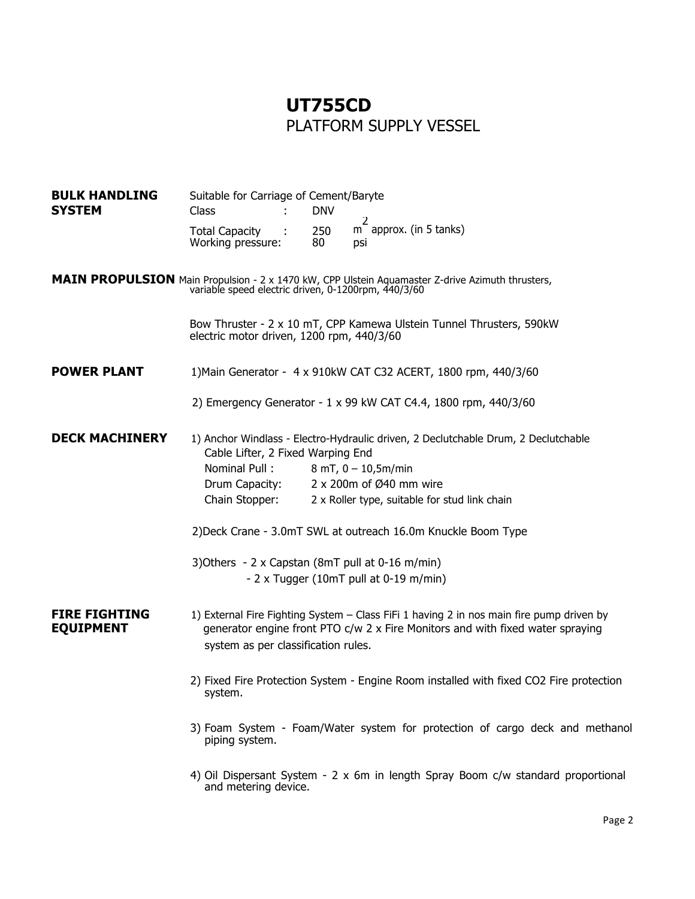## **UT755CD** PLATFORM SUPPLY VESSEL

| <b>BULK HANDLING</b><br><b>SYSTEM</b>    | Class                                                                                                                   | Suitable for Carriage of Cement/Baryte |                         |                                                                                                                                                                            |  |  |
|------------------------------------------|-------------------------------------------------------------------------------------------------------------------------|----------------------------------------|-------------------------|----------------------------------------------------------------------------------------------------------------------------------------------------------------------------|--|--|
|                                          | <b>Total Capacity</b><br>Working pressure:                                                                              |                                        | <b>DNV</b><br>250<br>80 | 2<br>m approx. (in 5 tanks)<br>psi                                                                                                                                         |  |  |
|                                          | variable speed electric driven, 0-1200rpm, 440/3/60                                                                     |                                        |                         | <b>MAIN PROPULSION</b> Main Propulsion - 2 x 1470 kW, CPP Ulstein Aquamaster Z-drive Azimuth thrusters,                                                                    |  |  |
|                                          | electric motor driven, 1200 rpm, 440/3/60                                                                               |                                        |                         | Bow Thruster - 2 x 10 mT, CPP Kamewa Ulstein Tunnel Thrusters, 590kW                                                                                                       |  |  |
| <b>POWER PLANT</b>                       |                                                                                                                         |                                        |                         | 1) Main Generator - 4 x 910kW CAT C32 ACERT, 1800 rpm, 440/3/60                                                                                                            |  |  |
|                                          |                                                                                                                         |                                        |                         | 2) Emergency Generator - 1 x 99 kW CAT C4.4, 1800 rpm, 440/3/60                                                                                                            |  |  |
| <b>DECK MACHINERY</b>                    | 1) Anchor Windlass - Electro-Hydraulic driven, 2 Declutchable Drum, 2 Declutchable<br>Cable Lifter, 2 Fixed Warping End |                                        |                         |                                                                                                                                                                            |  |  |
|                                          | Nominal Pull:                                                                                                           |                                        |                         | $8$ mT, $0 - 10,5$ m/min                                                                                                                                                   |  |  |
|                                          | Drum Capacity:                                                                                                          |                                        |                         | 2 x 200m of Ø40 mm wire                                                                                                                                                    |  |  |
|                                          | Chain Stopper:                                                                                                          |                                        |                         | 2 x Roller type, suitable for stud link chain                                                                                                                              |  |  |
|                                          |                                                                                                                         |                                        |                         | 2) Deck Crane - 3.0mT SWL at outreach 16.0m Knuckle Boom Type                                                                                                              |  |  |
|                                          | 3) Others $-2 \times$ Capstan (8mT pull at 0-16 m/min)                                                                  |                                        |                         |                                                                                                                                                                            |  |  |
|                                          |                                                                                                                         |                                        |                         | - $2 \times$ Tugger (10mT pull at 0-19 m/min)                                                                                                                              |  |  |
| <b>FIRE FIGHTING</b><br><b>EQUIPMENT</b> |                                                                                                                         |                                        |                         | 1) External Fire Fighting System - Class FiFi 1 having 2 in nos main fire pump driven by<br>generator engine front PTO c/w 2 x Fire Monitors and with fixed water spraying |  |  |
|                                          | system as per classification rules.                                                                                     |                                        |                         |                                                                                                                                                                            |  |  |
|                                          | system.                                                                                                                 |                                        |                         | 2) Fixed Fire Protection System - Engine Room installed with fixed CO2 Fire protection                                                                                     |  |  |
|                                          | piping system.                                                                                                          |                                        |                         | 3) Foam System - Foam/Water system for protection of cargo deck and methanol                                                                                               |  |  |
|                                          | and metering device.                                                                                                    |                                        |                         | 4) Oil Dispersant System - 2 x 6m in length Spray Boom c/w standard proportional                                                                                           |  |  |